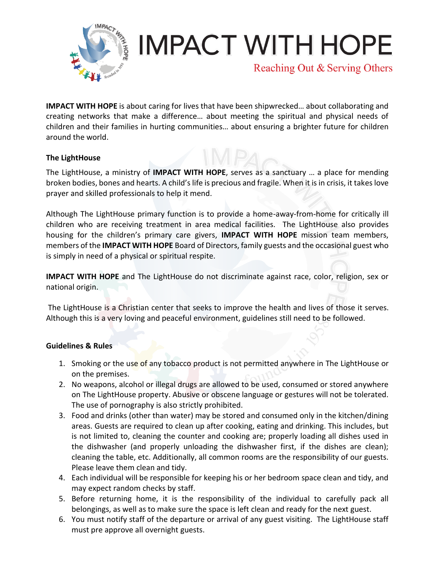

## **IMPACT WITH HOPE**

Reaching Out & Serving Others

**IMPACT WITH HOPE** is about caring for lives that have been shipwrecked… about collaborating and creating networks that make a difference… about meeting the spiritual and physical needs of children and their families in hurting communities… about ensuring a brighter future for children around the world.

## **The LightHouse**

The LightHouse, a ministry of **IMPACT WITH HOPE**, serves as a sanctuary … a place for mending broken bodies, bones and hearts. A child's life is precious and fragile. When it is in crisis, it takes love prayer and skilled professionals to help it mend.

Although The LightHouse primary function is to provide a home-away-from-home for critically ill children who are receiving treatment in area medical facilities. The LightHouse also provides housing for the children's primary care givers, **IMPACT WITH HOPE** mission team members, members of the **IMPACT WITH HOPE** Board of Directors, family guests and the occasional guest who is simply in need of a physical or spiritual respite.

**IMPACT WITH HOPE** and The LightHouse do not discriminate against race, color, religion, sex or national origin.

The LightHouse is a Christian center that seeks to improve the health and lives of those it serves. Although this is a very loving and peaceful environment, guidelines still need to be followed.

## **Guidelines & Rules**

- 1. Smoking or the use of any tobacco product is not permitted anywhere in The LightHouse or on the premises.
- 2. No weapons, alcohol or illegal drugs are allowed to be used, consumed or stored anywhere on The LightHouse property. Abusive or obscene language or gestures will not be tolerated. The use of pornography is also strictly prohibited.
- 3. Food and drinks (other than water) may be stored and consumed only in the kitchen/dining areas. Guests are required to clean up after cooking, eating and drinking. This includes, but is not limited to, cleaning the counter and cooking are; properly loading all dishes used in the dishwasher (and properly unloading the dishwasher first, if the dishes are clean); cleaning the table, etc. Additionally, all common rooms are the responsibility of our guests. Please leave them clean and tidy.
- 4. Each individual will be responsible for keeping his or her bedroom space clean and tidy, and may expect random checks by staff.
- 5. Before returning home, it is the responsibility of the individual to carefully pack all belongings, as well as to make sure the space is left clean and ready for the next guest.
- 6. You must notify staff of the departure or arrival of any guest visiting. The LightHouse staff must pre approve all overnight guests.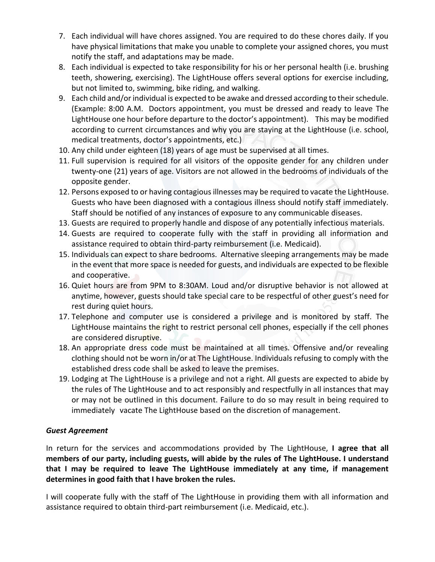- 7. Each individual will have chores assigned. You are required to do these chores daily. If you have physical limitations that make you unable to complete your assigned chores, you must notify the staff, and adaptations may be made.
- 8. Each individual is expected to take responsibility for his or her personal health (i.e. brushing teeth, showering, exercising). The LightHouse offers several options for exercise including, but not limited to, swimming, bike riding, and walking.
- 9. Each child and/or individual is expected to be awake and dressed according to their schedule. (Example: 8:00 A.M. Doctors appointment, you must be dressed and ready to leave The LightHouse one hour before departure to the doctor's appointment). This may be modified according to current circumstances and why you are staying at the LightHouse (i.e. school, medical treatments, doctor's appointments, etc.)
- 10. Any child under eighteen (18) years of age must be supervised at all times.
- 11. Full supervision is required for all visitors of the opposite gender for any children under twenty-one (21) years of age. Visitors are not allowed in the bedrooms of individuals of the opposite gender.
- 12. Persons exposed to or having contagious illnesses may be required to vacate the LightHouse. Guests who have been diagnosed with a contagious illness should notify staff immediately. Staff should be notified of any instances of exposure to any communicable diseases.
- 13. Guests are required to properly handle and dispose of any potentially infectious materials.
- 14. Guests are required to cooperate fully with the staff in providing all information and assistance required to obtain third-party reimbursement (i.e. Medicaid).
- 15. Individuals can expect to share bedrooms. Alternative sleeping arrangements may be made in the event that more space is needed for guests, and individuals are expected to be flexible and cooperative.
- 16. Quiet hours are from 9PM to 8:30AM. Loud and/or disruptive behavior is not allowed at anytime, however, guests should take special care to be respectful of other guest's need for rest during quiet hours.
- 17. Telephone and computer use is considered a privilege and is monitored by staff. The LightHouse maintains the right to restrict personal cell phones, especially if the cell phones are considered disruptive.
- 18. An appropriate dress code must be maintained at all times. Offensive and/or revealing clothing should not be worn in/or at The LightHouse. Individuals refusing to comply with the established dress code shall be asked to leave the premises.
- 19. Lodging at The LightHouse is a privilege and not a right. All guests are expected to abide by the rules of The LightHouse and to act responsibly and respectfully in all instances that may or may not be outlined in this document. Failure to do so may result in being required to immediately vacate The LightHouse based on the discretion of management.

## *Guest Agreement*

In return for the services and accommodations provided by The LightHouse, **I agree that all members of our party, including guests, will abide by the rules of The LightHouse. I understand that I may be required to leave The LightHouse immediately at any time, if management determines in good faith that I have broken the rules.**

I will cooperate fully with the staff of The LightHouse in providing them with all information and assistance required to obtain third-part reimbursement (i.e. Medicaid, etc.).